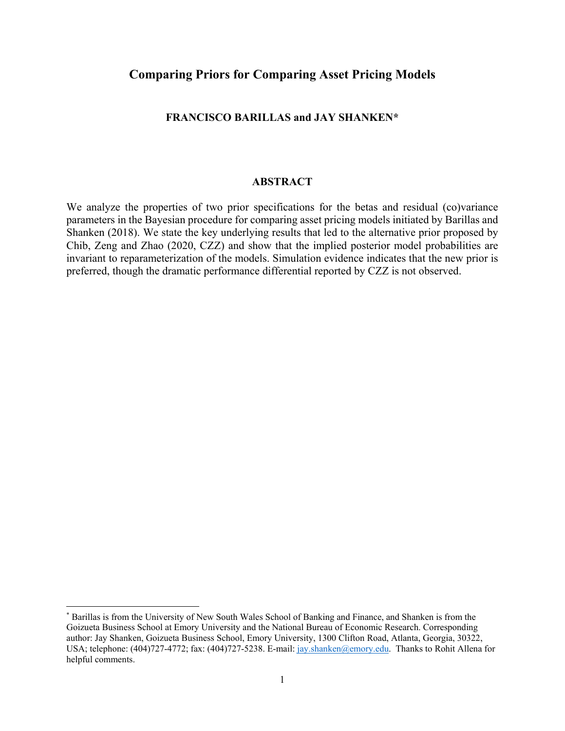# **Comparing Priors for Comparing Asset Pricing Models**

# **FRANCISCO BARILLAS and JAY SHANKEN\***

# **ABSTRACT**

We analyze the properties of two prior specifications for the betas and residual (co)variance parameters in the Bayesian procedure for comparing asset pricing models initiated by Barillas and Shanken (2018). We state the key underlying results that led to the alternative prior proposed by Chib, Zeng and Zhao (2020, CZZ) and show that the implied posterior model probabilities are invariant to reparameterization of the models. Simulation evidence indicates that the new prior is preferred, though the dramatic performance differential reported by CZZ is not observed.

<sup>\*</sup> Barillas is from the University of New South Wales School of Banking and Finance, and Shanken is from the Goizueta Business School at Emory University and the National Bureau of Economic Research. Corresponding author: Jay Shanken, Goizueta Business School, Emory University, 1300 Clifton Road, Atlanta, Georgia, 30322, USA; telephone: (404)727-4772; fax: (404)727-5238. E-mail: jay.shanken@emory.edu. Thanks to Rohit Allena for helpful comments.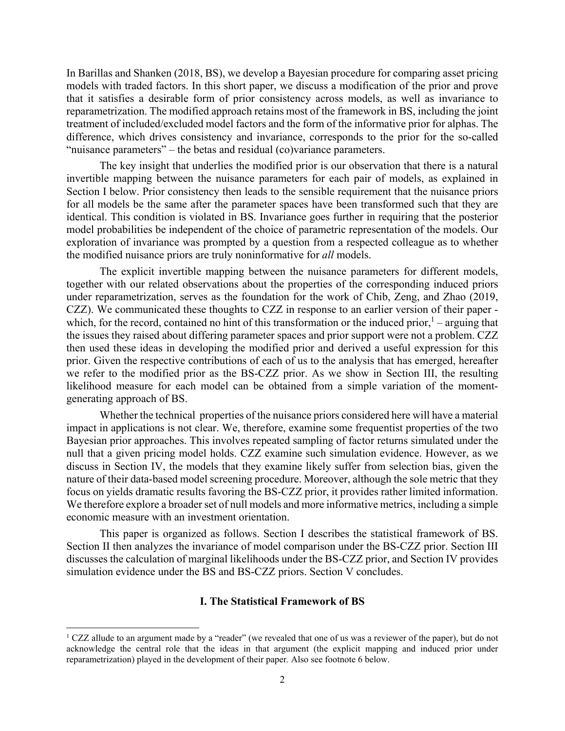In Barillas and Shanken (2018, BS), we develop a Bayesian procedure for comparing asset pricing models with traded factors. In this short paper, we discuss a modification of the prior and prove that it satisfies a desirable form of prior consistency across models, as well as invariance to reparametrization. The modified approach retains most of the framework in BS, including the joint treatment of included/excluded model factors and the form of the informative prior for alphas. The difference, which drives consistency and invariance, corresponds to the prior for the so-called "nuisance parameters" – the betas and residual (co)variance parameters.

The key insight that underlies the modified prior is our observation that there is a natural invertible mapping between the nuisance parameters for each pair of models, as explained in Section I below. Prior consistency then leads to the sensible requirement that the nuisance priors for all models be the same after the parameter spaces have been transformed such that they are identical. This condition is violated in BS. Invariance goes further in requiring that the posterior model probabilities be independent of the choice of parametric representation of the models. Our exploration of invariance was prompted by a question from a respected colleague as to whether the modified nuisance priors are truly noninformative for *all* models.

The explicit invertible mapping between the nuisance parameters for different models, together with our related observations about the properties of the corresponding induced priors under reparametrization, serves as the foundation for the work of Chib, Zeng, and Zhao (2019, CZZ). We communicated these thoughts to CZZ in response to an earlier version of their paper which, for the record, contained no hint of this transformation or the induced prior, $1 - \text{arguing that}$ the issues they raised about differing parameter spaces and prior support were not a problem. CZZ then used these ideas in developing the modified prior and derived a useful expression for this prior. Given the respective contributions of each of us to the analysis that has emerged, hereafter we refer to the modified prior as the BS-CZZ prior. As we show in Section III, the resulting likelihood measure for each model can be obtained from a simple variation of the momentgenerating approach of BS.

Whether the technical properties of the nuisance priors considered here will have a material impact in applications is not clear. We, therefore, examine some frequentist properties of the two Bayesian prior approaches. This involves repeated sampling of factor returns simulated under the null that a given pricing model holds. CZZ examine such simulation evidence. However, as we discuss in Section IV, the models that they examine likely suffer from selection bias, given the nature of their data-based model screening procedure. Moreover, although the sole metric that they focus on yields dramatic results favoring the BS-CZZ prior, it provides rather limited information. We therefore explore a broader set of null models and more informative metrics, including a simple economic measure with an investment orientation.

This paper is organized as follows. Section I describes the statistical framework of BS. Section II then analyzes the invariance of model comparison under the BS-CZZ prior. Section III discusses the calculation of marginal likelihoods under the BS-CZZ prior, and Section IV provides simulation evidence under the BS and BS-CZZ priors. Section V concludes.

# **I. The Statistical Framework of BS**

<sup>&</sup>lt;sup>1</sup> CZZ allude to an argument made by a "reader" (we revealed that one of us was a reviewer of the paper), but do not acknowledge the central role that the ideas in that argument (the explicit mapping and induced prior under reparametrization) played in the development of their paper*.* Also see footnote 6 below.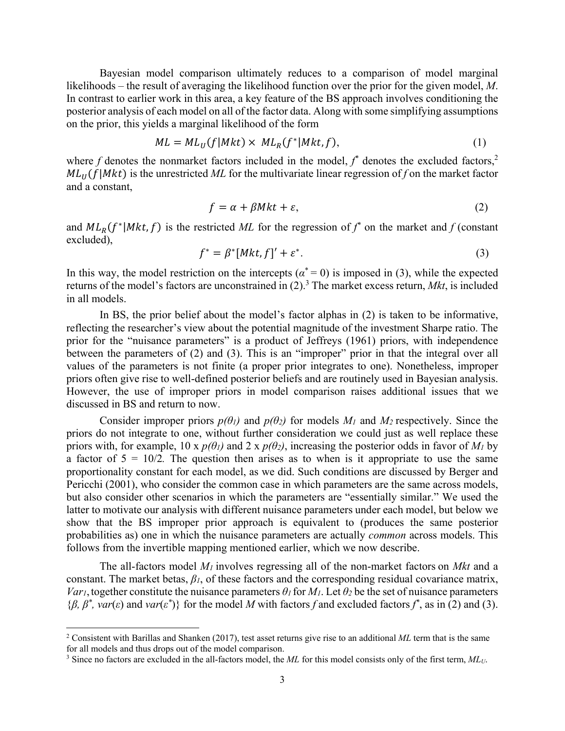Bayesian model comparison ultimately reduces to a comparison of model marginal likelihoods – the result of averaging the likelihood function over the prior for the given model, *M*. In contrast to earlier work in this area, a key feature of the BS approach involves conditioning the posterior analysis of each model on all of the factor data. Along with some simplifying assumptions on the prior, this yields a marginal likelihood of the form

$$
ML = ML_U(f|Mkt) \times ML_R(f^*|Mkt, f), \qquad (1)
$$

where  $f$  denotes the nonmarket factors included in the model,  $f^*$  denotes the excluded factors,<sup>2</sup>  $ML_{II}(f|Mkt)$  is the unrestricted ML for the multivariate linear regression of *f* on the market factor and a constant,

$$
f = \alpha + \beta Mkt + \varepsilon,\tag{2}
$$

and  $ML_R(f^*|Mkt, f)$  is the restricted ML for the regression of  $f^*$  on the market and  $f$  (constant excluded),

$$
f^* = \beta^* [Mkt, f]' + \varepsilon^*.
$$
 (3)

In this way, the model restriction on the intercepts ( $\alpha^* = 0$ ) is imposed in (3), while the expected returns of the model's factors are unconstrained in (2).<sup>3</sup> The market excess return, *Mkt*, is included in all models.

In BS, the prior belief about the model's factor alphas in (2) is taken to be informative, reflecting the researcher's view about the potential magnitude of the investment Sharpe ratio. The prior for the "nuisance parameters" is a product of Jeffreys (1961) priors, with independence between the parameters of (2) and (3). This is an "improper" prior in that the integral over all values of the parameters is not finite (a proper prior integrates to one). Nonetheless, improper priors often give rise to well-defined posterior beliefs and are routinely used in Bayesian analysis. However, the use of improper priors in model comparison raises additional issues that we discussed in BS and return to now.

Consider improper priors  $p(\theta_l)$  and  $p(\theta_2)$  for models  $M_l$  and  $M_2$  respectively. Since the priors do not integrate to one, without further consideration we could just as well replace these priors with, for example,  $10 \times p(\theta_l)$  and  $2 \times p(\theta_2)$ , increasing the posterior odds in favor of  $M_l$  by a factor of  $5 = 10/2$ . The question then arises as to when is it appropriate to use the same proportionality constant for each model, as we did. Such conditions are discussed by Berger and Pericchi (2001), who consider the common case in which parameters are the same across models, but also consider other scenarios in which the parameters are "essentially similar." We used the latter to motivate our analysis with different nuisance parameters under each model, but below we show that the BS improper prior approach is equivalent to (produces the same posterior probabilities as) one in which the nuisance parameters are actually *common* across models. This follows from the invertible mapping mentioned earlier, which we now describe.

The all-factors model *M1* involves regressing all of the non-market factors on *Mkt* and a constant. The market betas, *β1*, of these factors and the corresponding residual covariance matrix, *Var<sub>1</sub>*, together constitute the nuisance parameters  $\theta_1$  for  $M_1$ . Let  $\theta_2$  be the set of nuisance parameters  $\{\beta, \beta^*, \text{var}(\varepsilon) \text{ and } \text{var}(\varepsilon^*)\}$  for the model *M* with factors *f* and excluded factors *f*<sup>\*</sup>, as in (2) and (3).

<sup>2</sup> Consistent with Barillas and Shanken (2017), test asset returns give rise to an additional *ML* term that is the same for all models and thus drops out of the model comparison.

<sup>&</sup>lt;sup>3</sup> Since no factors are excluded in the all-factors model, the *ML* for this model consists only of the first term,  $ML_U$ .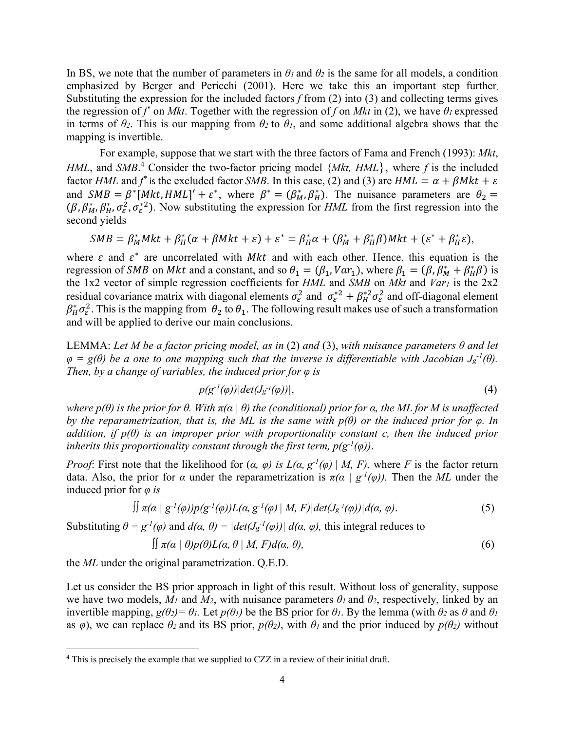In BS, we note that the number of parameters in  $\theta_l$  and  $\theta_2$  is the same for all models, a condition emphasized by Berger and Pericchi (2001). Here we take this an important step further. Substituting the expression for the included factors *f* from (2) into (3) and collecting terms gives the regression of  $f^*$  on *Mkt*. Together with the regression of  $f$  on *Mkt* in (2), we have  $\theta_l$  expressed in terms of  $\theta$ <sup>2</sup>. This is our mapping from  $\theta$ <sup>2</sup> to  $\theta$ <sup>*i*</sup>, and some additional algebra shows that the mapping is invertible.

For example, suppose that we start with the three factors of Fama and French (1993): *Mkt*, *HML*, and *SMB*. 4 Consider the two-factor pricing model {*Mkt, HML*}, where *f* is the included factor *HML* and  $f^*$  is the excluded factor *SMB*. In this case, (2) and (3) are *HML* =  $\alpha + \beta Mkt + \varepsilon$ and  $SMB = \beta^* [Mkt, HML]' + \varepsilon^*$ , where  $\beta^* = (\beta_M^*, \beta_H^*)$ . The nuisance parameters are  $\theta_2 =$  $(\beta, \beta_M^*, \beta_H^*, \sigma_{\varepsilon}^2, \sigma_{\varepsilon}^{*2})$ . Now substituting the expression for *HML* from the first regression into the second yields

$$
SMB = \beta_M^*Mkt + \beta_H^*(\alpha + \beta Mkt + \varepsilon) + \varepsilon^* = \beta_H^*\alpha + (\beta_M^* + \beta_H^*\beta)Mkt + (\varepsilon^* + \beta_H^*\varepsilon),
$$

where  $\varepsilon$  and  $\varepsilon^*$  are uncorrelated with Mkt and with each other. Hence, this equation is the regression of *SMB* on *Mkt* and a constant, and so  $\theta_1 = (\beta_1, Var_1)$ , where  $\beta_1 = (\beta_1 \beta_M^* + \beta_H^* \beta)$  is the 1x2 vector of simple regression coefficients for *HML* and *SMB* on *Mkt* and *Var1* is the 2x2 residual covariance matrix with diagonal elements  $\sigma_{\varepsilon}^2$  and  $\sigma_{\varepsilon}^{*2} + \beta_H^{*2} \sigma_{\varepsilon}^2$  and off-diagonal element  $\beta_H^* \sigma_\varepsilon^2$ . This is the mapping from  $\theta_2$  to  $\theta_1$ . The following result makes use of such a transformation and will be applied to derive our main conclusions.

LEMMA: *Let M be a factor pricing model, as in* (2) *and* (3), *with nuisance parameters θ and let*   $\varphi$  =  $g(\theta)$  be a one to one mapping such that the inverse is differentiable with Jacobian  $J_g^{-1}(\theta)$ . *Then, by a change of variables, the induced prior for φ is* 

$$
p(g^{-1}(\varphi))|det(J_{g^{-1}}(\varphi))|,
$$
\n<sup>(4)</sup>

*where*  $p(θ)$  *is the prior for*  $θ$ *. With*  $π(α | θ)$  the (conditional) prior for  $α$ *, the ML for M is unaffected by the reparametrization, that is, the ML is the same with*  $p(\theta)$  *or the induced prior for*  $\varphi$ *. In addition, if p(θ) is an improper prior with proportionality constant c, then the induced prior inherits this proportionality constant through the first term,*  $p(g^{-1}(\varphi))$ *.* 

*Proof*: First note that the likelihood for  $(a, \varphi)$  is  $L(a, g^{-1}(\varphi) | M, F)$ , where *F* is the factor return data. Also, the prior for *α* under the reparametrization is  $\pi(\alpha \mid g^{-1}(\varphi))$ . Then the *ML* under the induced prior for *φ is*

$$
\iint \pi(\alpha \mid g^{-1}(\varphi)) p(g^{-1}(\varphi)) L(\alpha, g^{-1}(\varphi) \mid M, F) | det(J_{g^{-1}}(\varphi)) | d(\alpha, \varphi).
$$
\n(5)

Substituting  $θ = g^{-1}(φ)$  and  $d(α, θ) = |det(Jg^{-1}(φ))| d(α, φ)$ , this integral reduces to

$$
\iint \pi(\alpha \mid \theta) p(\theta) L(\alpha, \theta \mid M, F) d(\alpha, \theta), \tag{6}
$$

the *ML* under the original parametrization. Q.E.D.

Let us consider the BS prior approach in light of this result. Without loss of generality, suppose we have two models,  $M_1$  and  $M_2$ , with nuisance parameters  $\theta_1$  and  $\theta_2$ , respectively, linked by an invertible mapping, *g(θ2)= θ1.* Let *p(θ1)* be the BS prior for *θ1*. By the lemma (with *θ2* as *θ* and *θ<sup>1</sup>* as  $\varphi$ ), we can replace  $\theta_2$  and its BS prior,  $p(\theta_2)$ , with  $\theta_1$  and the prior induced by  $p(\theta_2)$  without

<sup>&</sup>lt;sup>4</sup> This is precisely the example that we supplied to CZZ in a review of their initial draft.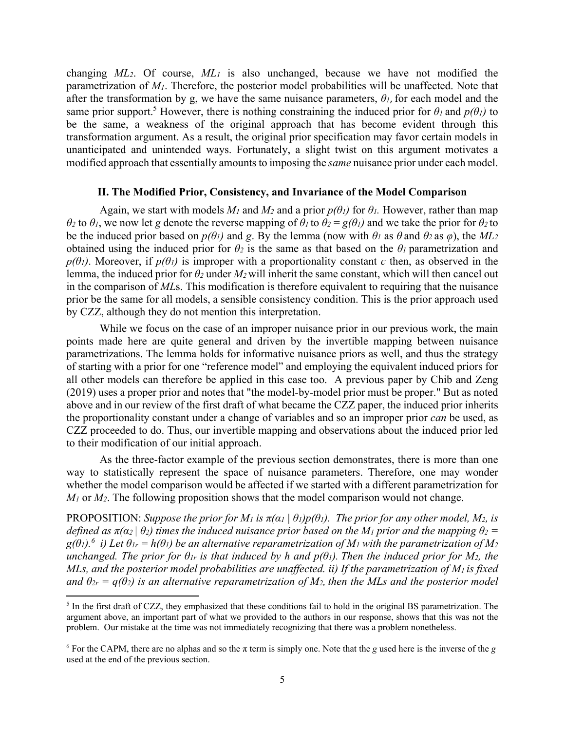changing *ML2*. Of course, *ML1* is also unchanged, because we have not modified the parametrization of *M1*. Therefore, the posterior model probabilities will be unaffected. Note that after the transformation by g, we have the same nuisance parameters,  $\theta_l$ , for each model and the same prior support.<sup>5</sup> However, there is nothing constraining the induced prior for  $\theta_l$  and  $p(\theta_l)$  to be the same, a weakness of the original approach that has become evident through this transformation argument. As a result, the original prior specification may favor certain models in unanticipated and unintended ways. Fortunately, a slight twist on this argument motivates a modified approach that essentially amounts to imposing the *same* nuisance prior under each model.

### **II. The Modified Prior, Consistency, and Invariance of the Model Comparison**

Again, we start with models  $M_1$  and  $M_2$  and a prior  $p(\theta_1)$  for  $\theta_1$ . However, rather than map *θ<sup>2</sup>* to *θ1*, we now let *g* denote the reverse mapping of *θ1* to *θ<sup>2</sup>* = *g(θ1)* and we take the prior for *θ2* to be the induced prior based on  $p(\theta_l)$  and *g*. By the lemma (now with  $\theta_l$  as  $\theta$  and  $\theta_2$  as  $\varphi$ ), the  $ML_2$ obtained using the induced prior for  $\theta_2$  is the same as that based on the  $\theta_1$  parametrization and  $p(\theta_l)$ . Moreover, if  $p(\theta_l)$  is improper with a proportionality constant *c* then, as observed in the lemma, the induced prior for *θ2* under *M2* will inherit the same constant, which will then cancel out in the comparison of *ML*s. This modification is therefore equivalent to requiring that the nuisance prior be the same for all models, a sensible consistency condition. This is the prior approach used by CZZ, although they do not mention this interpretation.

While we focus on the case of an improper nuisance prior in our previous work, the main points made here are quite general and driven by the invertible mapping between nuisance parametrizations. The lemma holds for informative nuisance priors as well, and thus the strategy of starting with a prior for one "reference model" and employing the equivalent induced priors for all other models can therefore be applied in this case too. A previous paper by Chib and Zeng (2019) uses a proper prior and notes that "the model-by-model prior must be proper." But as noted above and in our review of the first draft of what became the CZZ paper, the induced prior inherits the proportionality constant under a change of variables and so an improper prior *can* be used, as CZZ proceeded to do. Thus, our invertible mapping and observations about the induced prior led to their modification of our initial approach.

 As the three-factor example of the previous section demonstrates, there is more than one way to statistically represent the space of nuisance parameters. Therefore, one may wonder whether the model comparison would be affected if we started with a different parametrization for *M<sub>1</sub>* or *M*<sub>2</sub>. The following proposition shows that the model comparison would not change.

PROPOSITION: *Suppose the prior for M<sub>1</sub> is*  $\pi(\alpha_1 \mid \theta_1)p(\theta_1)$ . The prior for any other model, M<sub>2</sub>, is *defined as*  $\pi$ ( $\alpha$ <sup>2</sup> |  $\theta$ <sup>2</sup>) *times the induced nuisance prior based on the M<sub>1</sub> prior and the mapping*  $\theta$ *<sup>2</sup> =*  $g(\theta_l)$ .<sup>6</sup> i) Let  $\theta_{lr} = h(\theta_l)$  be an alternative reparametrization of  $M_l$  with the parametrization of  $M_2$ *unchanged. The prior for*  $\theta$ *<sub><i>lr*</sub> is that induced by h and  $p(\theta)$ *). Then the induced prior for M<sub>2</sub>, the MLs, and the posterior model probabilities are unaffected. ii) If the parametrization of M1 is fixed and*  $\theta_{2r} = q(\theta_2)$  *is an alternative reparametrization of M<sub>2</sub>, then the MLs and the posterior model* 

 $<sup>5</sup>$  In the first draft of CZZ, they emphasized that these conditions fail to hold in the original BS parametrization. The</sup> argument above, an important part of what we provided to the authors in our response, shows that this was not the problem. Our mistake at the time was not immediately recognizing that there was a problem nonetheless.

<sup>6</sup> For the CAPM, there are no alphas and so the π term is simply one. Note that the *g* used here is the inverse of the *g* used at the end of the previous section.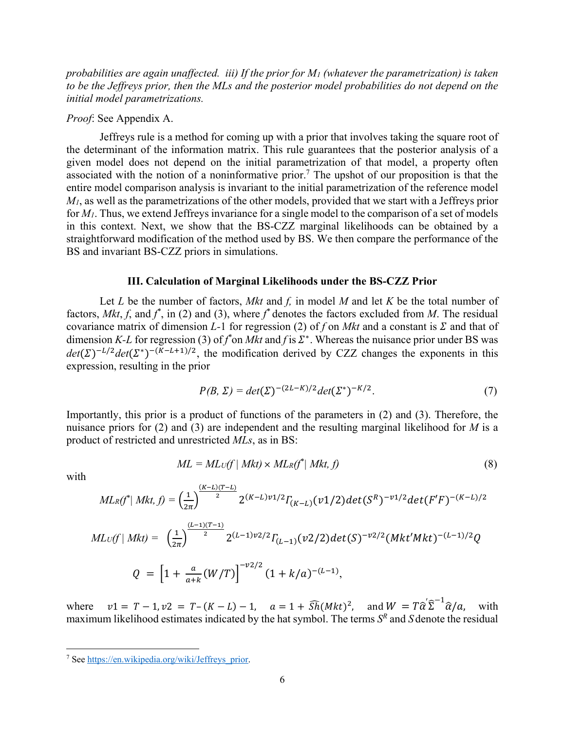*probabilities are again unaffected. iii) If the prior for M1 (whatever the parametrization) is taken to be the Jeffreys prior, then the MLs and the posterior model probabilities do not depend on the initial model parametrizations.* 

# *Proof*: See Appendix A.

 Jeffreys rule is a method for coming up with a prior that involves taking the square root of the determinant of the information matrix. This rule guarantees that the posterior analysis of a given model does not depend on the initial parametrization of that model, a property often associated with the notion of a noninformative prior.<sup>7</sup> The upshot of our proposition is that the entire model comparison analysis is invariant to the initial parametrization of the reference model *M1*, as well as the parametrizations of the other models, provided that we start with a Jeffreys prior for *M1*. Thus, we extend Jeffreys invariance for a single model to the comparison of a set of models in this context. Next, we show that the BS-CZZ marginal likelihoods can be obtained by a straightforward modification of the method used by BS. We then compare the performance of the BS and invariant BS-CZZ priors in simulations.

# **III. Calculation of Marginal Likelihoods under the BS-CZZ Prior**

Let *L* be the number of factors, *Mkt* and *f,* in model *M* and let *K* be the total number of factors,  $Mkt, f$ , and  $f^*$ , in (2) and (3), where  $f^*$  denotes the factors excluded from M. The residual covariance matrix of dimension *L*-1 for regression (2) of f on *Mkt* and a constant is  $\Sigma$  and that of dimension *K-L* for regression (3) of  $f^*$  on *Mkt* and  $f$  is  $\Sigma^*$ . Whereas the nuisance prior under BS was  $det(\Sigma)^{-L/2}det(\Sigma^*)^{-(K-L+1)/2}$ , the modification derived by CZZ changes the exponents in this expression, resulting in the prior

$$
P(B, \Sigma) = det(\Sigma)^{-(2L-K)/2} det(\Sigma^*)^{-K/2}.
$$
 (7)

Importantly, this prior is a product of functions of the parameters in (2) and (3). Therefore, the nuisance priors for (2) and (3) are independent and the resulting marginal likelihood for *M* is a product of restricted and unrestricted *MLs*, as in BS:

$$
ML = ML_U(f \mid Mkt) \times ML_R(f^* \mid Mkt, f)
$$
\n
$$
(8)
$$

with

$$
ML_{R}(f^{*}|Mkt, f) = \left(\frac{1}{2\pi}\right)^{\frac{(K-L)(T-L)}{2}} 2^{(K-L)\nu 1/2} \Gamma_{(K-L)}(\nu 1/2) det(S^{R})^{-\nu 1/2} det(F'F)^{-(K-L)/2}
$$
  
\n
$$
ML_{U}(f|Mkt) = \left(\frac{1}{2\pi}\right)^{\frac{(L-1)(T-1)}{2}} 2^{(L-1)\nu 2/2} \Gamma_{(L-1)}(\nu 2/2) det(S)^{-\nu 2/2} (Mkt'Mkt)^{-(L-1)/2} Q
$$
  
\n
$$
Q = \left[1 + \frac{a}{a+k}(W/T)\right]^{-\nu 2/2} (1 + k/a)^{-(L-1)},
$$

where  $v1 = T - 1$ ,  $v2 = T - (K - L) - 1$ ,  $a = 1 + \widehat{Sh}(Mkt)^2$ , and  $W = T\widehat{\alpha}'\widehat{\Sigma}^{-1}\widehat{\alpha}/a$ , with maximum likelihood estimates indicated by the hat symbol. The terms *SR* and *S* denote the residual

<sup>&</sup>lt;sup>7</sup> See https://en.wikipedia.org/wiki/Jeffreys\_prior.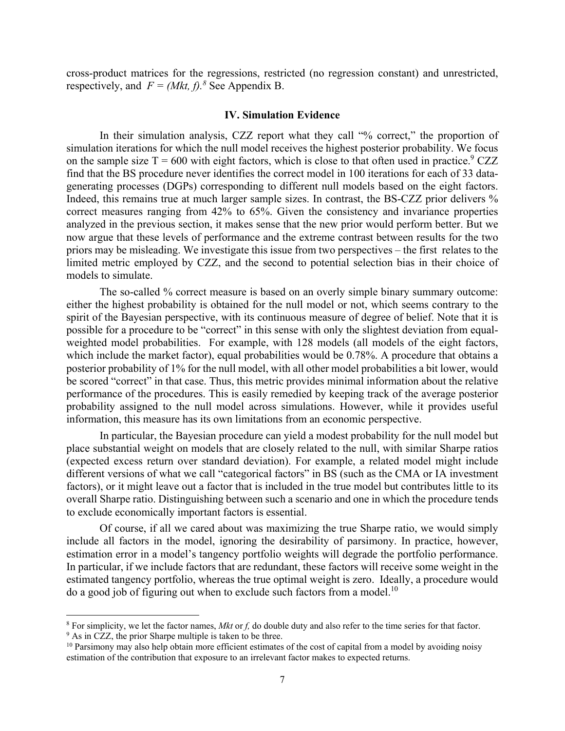cross-product matrices for the regressions, restricted (no regression constant) and unrestricted, respectively, and  $F = (Mkt, f)^8$  See Appendix B.

#### **IV. Simulation Evidence**

In their simulation analysis, CZZ report what they call "% correct," the proportion of simulation iterations for which the null model receives the highest posterior probability. We focus on the sample size  $T = 600$  with eight factors, which is close to that often used in practice.<sup>9</sup> CZZ find that the BS procedure never identifies the correct model in 100 iterations for each of 33 datagenerating processes (DGPs) corresponding to different null models based on the eight factors. Indeed, this remains true at much larger sample sizes. In contrast, the BS-CZZ prior delivers % correct measures ranging from 42% to 65%. Given the consistency and invariance properties analyzed in the previous section, it makes sense that the new prior would perform better. But we now argue that these levels of performance and the extreme contrast between results for the two priors may be misleading. We investigate this issue from two perspectives – the first relates to the limited metric employed by CZZ, and the second to potential selection bias in their choice of models to simulate.

The so-called % correct measure is based on an overly simple binary summary outcome: either the highest probability is obtained for the null model or not, which seems contrary to the spirit of the Bayesian perspective, with its continuous measure of degree of belief. Note that it is possible for a procedure to be "correct" in this sense with only the slightest deviation from equalweighted model probabilities. For example, with 128 models (all models of the eight factors, which include the market factor), equal probabilities would be 0.78%. A procedure that obtains a posterior probability of 1% for the null model, with all other model probabilities a bit lower, would be scored "correct" in that case. Thus, this metric provides minimal information about the relative performance of the procedures. This is easily remedied by keeping track of the average posterior probability assigned to the null model across simulations. However, while it provides useful information, this measure has its own limitations from an economic perspective.

In particular, the Bayesian procedure can yield a modest probability for the null model but place substantial weight on models that are closely related to the null, with similar Sharpe ratios (expected excess return over standard deviation). For example, a related model might include different versions of what we call "categorical factors" in BS (such as the CMA or IA investment factors), or it might leave out a factor that is included in the true model but contributes little to its overall Sharpe ratio. Distinguishing between such a scenario and one in which the procedure tends to exclude economically important factors is essential.

Of course, if all we cared about was maximizing the true Sharpe ratio, we would simply include all factors in the model, ignoring the desirability of parsimony. In practice, however, estimation error in a model's tangency portfolio weights will degrade the portfolio performance. In particular, if we include factors that are redundant, these factors will receive some weight in the estimated tangency portfolio, whereas the true optimal weight is zero. Ideally, a procedure would do a good job of figuring out when to exclude such factors from a model.<sup>10</sup>

<sup>&</sup>lt;sup>8</sup> For simplicity, we let the factor names, *Mkt* or *f*, do double duty and also refer to the time series for that factor.

<sup>&</sup>lt;sup>9</sup> As in CZZ, the prior Sharpe multiple is taken to be three.  $10$  Parsimony may also help obtain more efficient estimates of the cost of capital from a model by avoiding noisy

estimation of the contribution that exposure to an irrelevant factor makes to expected returns.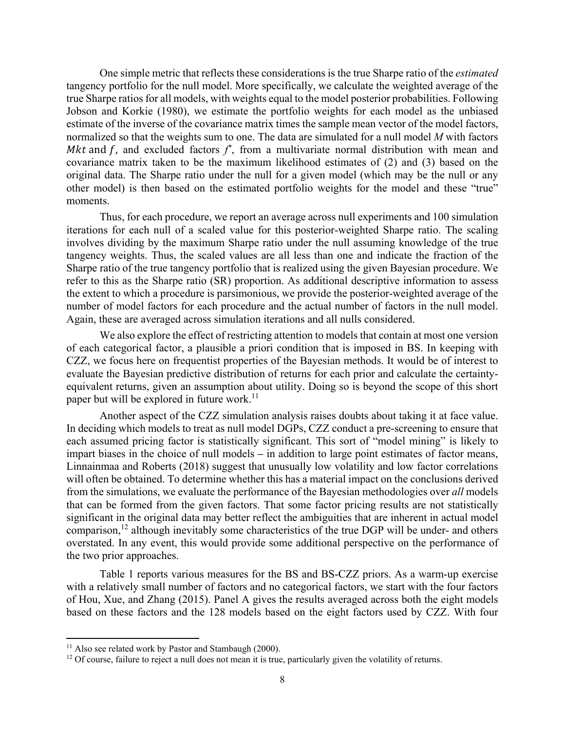One simple metric that reflects these considerations is the true Sharpe ratio of the *estimated* tangency portfolio for the null model. More specifically, we calculate the weighted average of the true Sharpe ratios for all models, with weights equal to the model posterior probabilities. Following Jobson and Korkie (1980), we estimate the portfolio weights for each model as the unbiased estimate of the inverse of the covariance matrix times the sample mean vector of the model factors, normalized so that the weights sum to one. The data are simulated for a null model *M* with factors Mkt and f, and excluded factors  $f^*$ , from a multivariate normal distribution with mean and covariance matrix taken to be the maximum likelihood estimates of (2) and (3) based on the original data. The Sharpe ratio under the null for a given model (which may be the null or any other model) is then based on the estimated portfolio weights for the model and these "true" moments.

Thus, for each procedure, we report an average across null experiments and 100 simulation iterations for each null of a scaled value for this posterior-weighted Sharpe ratio. The scaling involves dividing by the maximum Sharpe ratio under the null assuming knowledge of the true tangency weights. Thus, the scaled values are all less than one and indicate the fraction of the Sharpe ratio of the true tangency portfolio that is realized using the given Bayesian procedure. We refer to this as the Sharpe ratio (SR) proportion. As additional descriptive information to assess the extent to which a procedure is parsimonious, we provide the posterior-weighted average of the number of model factors for each procedure and the actual number of factors in the null model. Again, these are averaged across simulation iterations and all nulls considered.

We also explore the effect of restricting attention to models that contain at most one version of each categorical factor, a plausible a priori condition that is imposed in BS. In keeping with CZZ, we focus here on frequentist properties of the Bayesian methods. It would be of interest to evaluate the Bayesian predictive distribution of returns for each prior and calculate the certaintyequivalent returns, given an assumption about utility. Doing so is beyond the scope of this short paper but will be explored in future work.<sup>11</sup>

Another aspect of the CZZ simulation analysis raises doubts about taking it at face value. In deciding which models to treat as null model DGPs, CZZ conduct a pre-screening to ensure that each assumed pricing factor is statistically significant. This sort of "model mining" is likely to impart biases in the choice of null models – in addition to large point estimates of factor means, Linnainmaa and Roberts (2018) suggest that unusually low volatility and low factor correlations will often be obtained. To determine whether this has a material impact on the conclusions derived from the simulations, we evaluate the performance of the Bayesian methodologies over *all* models that can be formed from the given factors. That some factor pricing results are not statistically significant in the original data may better reflect the ambiguities that are inherent in actual model comparison,<sup>12</sup> although inevitably some characteristics of the true DGP will be under- and others overstated. In any event, this would provide some additional perspective on the performance of the two prior approaches.

Table 1 reports various measures for the BS and BS-CZZ priors. As a warm-up exercise with a relatively small number of factors and no categorical factors, we start with the four factors of Hou, Xue, and Zhang (2015). Panel A gives the results averaged across both the eight models based on these factors and the 128 models based on the eight factors used by CZZ. With four

<sup>&</sup>lt;sup>11</sup> Also see related work by Pastor and Stambaugh (2000).

<sup>&</sup>lt;sup>12</sup> Of course, failure to reject a null does not mean it is true, particularly given the volatility of returns.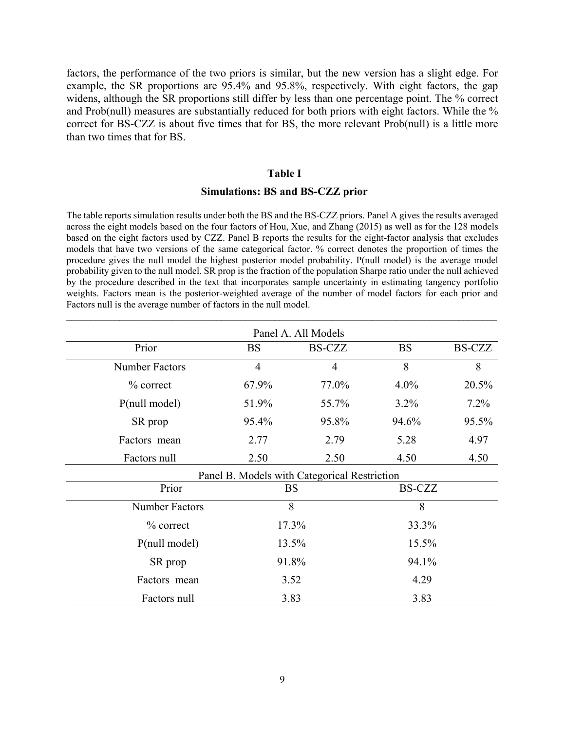factors, the performance of the two priors is similar, but the new version has a slight edge. For example, the SR proportions are 95.4% and 95.8%, respectively. With eight factors, the gap widens, although the SR proportions still differ by less than one percentage point. The % correct and Prob(null) measures are substantially reduced for both priors with eight factors. While the % correct for BS-CZZ is about five times that for BS, the more relevant Prob(null) is a little more than two times that for BS.

#### **Table I**

#### **Simulations: BS and BS-CZZ prior**

The table reports simulation results under both the BS and the BS-CZZ priors. Panel A gives the results averaged across the eight models based on the four factors of Hou, Xue, and Zhang (2015) as well as for the 128 models based on the eight factors used by CZZ. Panel B reports the results for the eight-factor analysis that excludes models that have two versions of the same categorical factor. % correct denotes the proportion of times the procedure gives the null model the highest posterior model probability. P(null model) is the average model probability given to the null model. SR prop is the fraction of the population Sharpe ratio under the null achieved by the procedure described in the text that incorporates sample uncertainty in estimating tangency portfolio weights. Factors mean is the posterior-weighted average of the number of model factors for each prior and Factors null is the average number of factors in the null model.

| Panel A. All Models   |                |                                              |           |               |
|-----------------------|----------------|----------------------------------------------|-----------|---------------|
| Prior                 | <b>BS</b>      | <b>BS-CZZ</b>                                | <b>BS</b> | <b>BS-CZZ</b> |
| Number Factors        | $\overline{4}$ | $\overline{4}$                               | 8         | 8             |
| % correct             | 67.9%          | 77.0%                                        | $4.0\%$   | 20.5%         |
| P(null model)         | 51.9%          | 55.7%                                        | 3.2%      | $7.2\%$       |
| SR prop               | 95.4%          | 95.8%                                        | 94.6%     | 95.5%         |
| Factors mean          | 2.77           | 2.79                                         | 5.28      | 4.97          |
| Factors null          | 2.50           | 2.50                                         | 4.50      | 4.50          |
|                       |                | Panel B. Models with Categorical Restriction |           |               |
| Prior                 | <b>BS</b>      |                                              | BS-CZZ    |               |
| <b>Number Factors</b> | 8              |                                              | 8         |               |
| $\%$ correct          | 17.3%          |                                              | 33.3%     |               |
| P(null model)         | 13.5%          |                                              | 15.5%     |               |
| SR prop               | 91.8%          |                                              | 94.1%     |               |
| Factors mean          | 3.52           |                                              | 4.29      |               |
| Factors null          | 3.83           |                                              | 3.83      |               |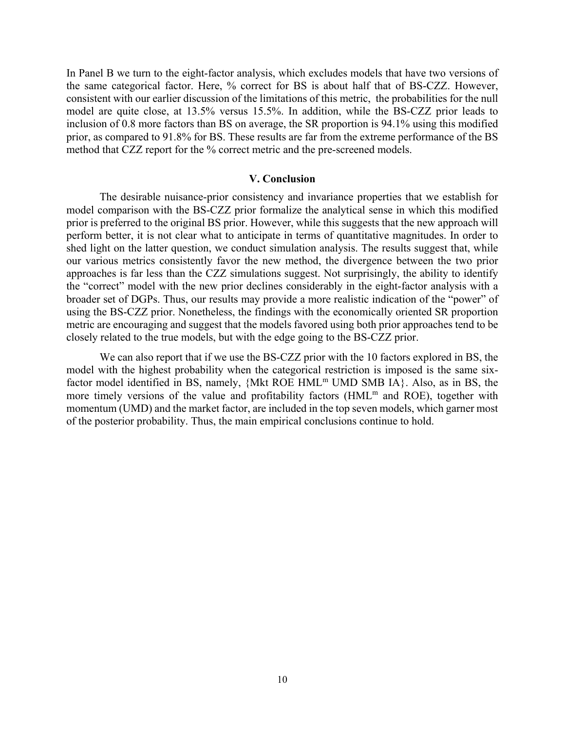In Panel B we turn to the eight-factor analysis, which excludes models that have two versions of the same categorical factor. Here, % correct for BS is about half that of BS-CZZ. However, consistent with our earlier discussion of the limitations of this metric, the probabilities for the null model are quite close, at 13.5% versus 15.5%. In addition, while the BS-CZZ prior leads to inclusion of 0.8 more factors than BS on average, the SR proportion is 94.1% using this modified prior, as compared to 91.8% for BS. These results are far from the extreme performance of the BS method that CZZ report for the % correct metric and the pre-screened models.

## **V. Conclusion**

The desirable nuisance-prior consistency and invariance properties that we establish for model comparison with the BS-CZZ prior formalize the analytical sense in which this modified prior is preferred to the original BS prior. However, while this suggests that the new approach will perform better, it is not clear what to anticipate in terms of quantitative magnitudes. In order to shed light on the latter question, we conduct simulation analysis. The results suggest that, while our various metrics consistently favor the new method, the divergence between the two prior approaches is far less than the CZZ simulations suggest. Not surprisingly, the ability to identify the "correct" model with the new prior declines considerably in the eight-factor analysis with a broader set of DGPs. Thus, our results may provide a more realistic indication of the "power" of using the BS-CZZ prior. Nonetheless, the findings with the economically oriented SR proportion metric are encouraging and suggest that the models favored using both prior approaches tend to be closely related to the true models, but with the edge going to the BS-CZZ prior.

We can also report that if we use the BS-CZZ prior with the 10 factors explored in BS, the model with the highest probability when the categorical restriction is imposed is the same sixfactor model identified in BS, namely,  $\{Mkt ROE HML^m UMD SMB IA\}$ . Also, as in BS, the more timely versions of the value and profitability factors  $(HML<sup>m</sup>$  and ROE), together with momentum (UMD) and the market factor, are included in the top seven models, which garner most of the posterior probability. Thus, the main empirical conclusions continue to hold.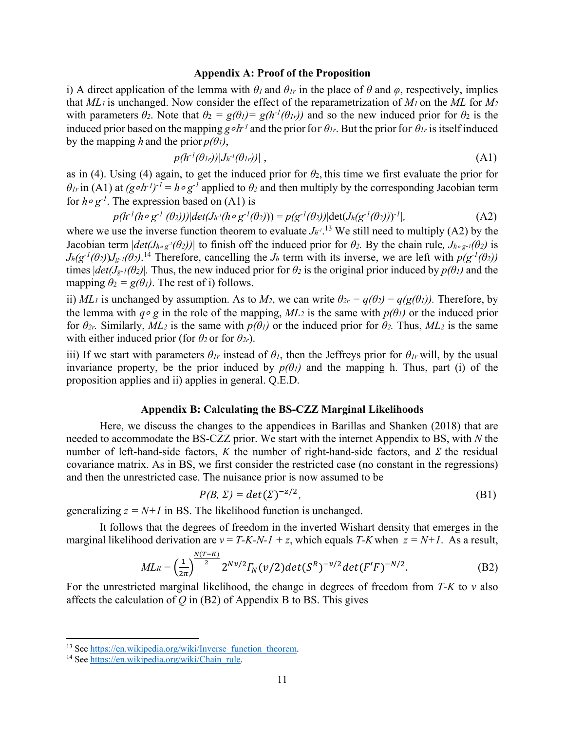#### **Appendix A: Proof of the Proposition**

i) A direct application of the lemma with  $\theta_l$  and  $\theta_{lr}$  in the place of  $\theta$  and  $\varphi$ , respectively, implies that *ML1* is unchanged. Now consider the effect of the reparametrization of *M1* on the *ML* for *M2* with parameters  $\theta_2$ . Note that  $\theta_2 = g(\theta_1) = g(h^{-1}(\theta_1))$  and so the new induced prior for  $\theta_2$  is the induced prior based on the mapping *g*∘h<sup>-1</sup> and the prior for  $\theta$ <sub>*Ir*</sub>. But the prior for  $\theta$ <sub>*Ir*</sub> is itself induced by the mapping *h* and the prior  $p(\theta_l)$ ,

$$
p(h^{-1}(\theta_{1r}))|J_{h^{-1}}(\theta_{1r}))| \t{,} \t(A1)
$$

as in (4). Using (4) again, to get the induced prior for  $\theta_2$ , this time we first evaluate the prior for  $\theta$ *lr* in (A1) at *(g*∘*h*<sup>-1)-1</sup> = *h*∘ *g*<sup>-1</sup> applied to  $\theta$ <sup>2</sup> and then multiply by the corresponding Jacobian term for *h*<sup>∘</sup> *g-1*. The expression based on (A1) is

$$
p(h^{-1}(h \circ g^{-1}(\theta_2)))|det(J_{h^{-1}}(h \circ g^{-1}(\theta_2))) = p(g^{-1}(\theta_2))|det(J_h(g^{-1}(\theta_2)))^{-1}|,
$$
\n(A2)

where we use the inverse function theorem to evaluate  $J_{h'}$ <sup>13</sup> We still need to multiply (A2) by the Jacobian term  $|det(J_{h \circ g} \cdot (\theta_2))|$  to finish off the induced prior for  $\theta_2$ . By the chain rule,  $J_{h \circ g} \cdot l(\theta_2)$  is  $J_h(g^{-1}(\theta_2))J_{g^{-1}}(\theta_2)$ .<sup>14</sup> Therefore, cancelling the  $J_h$  term with its inverse, we are left with  $p(g^{-1}(\theta_2))$ times  $|det(J_{g-1}(\theta_2))|$ . Thus, the new induced prior for  $\theta_2$  is the original prior induced by  $p(\theta_1)$  and the mapping  $\theta_2 = g(\theta_1)$ . The rest of i) follows.

ii) *ML<sub>1</sub>* is unchanged by assumption. As to *M*<sub>2</sub>, we can write  $\theta_{2r} = q(\theta_2) = q(g(\theta_1))$ . Therefore, by the lemma with *q*<sup>∘</sup> *g* in the role of the mapping, *ML2* is the same with *p(θ1)* or the induced prior for  $\theta_{2r}$ . Similarly,  $ML_2$  is the same with  $p(\theta_1)$  or the induced prior for  $\theta_2$ . Thus,  $ML_2$  is the same with either induced prior (for  $\theta_2$  or for  $\theta_{2r}$ ).

iii) If we start with parameters  $\theta_{1r}$  instead of  $\theta_1$ , then the Jeffreys prior for  $\theta_{1r}$  will, by the usual invariance property, be the prior induced by  $p(\theta_l)$  and the mapping h. Thus, part (i) of the proposition applies and ii) applies in general. Q.E.D.

#### **Appendix B: Calculating the BS-CZZ Marginal Likelihoods**

Here, we discuss the changes to the appendices in Barillas and Shanken (2018) that are needed to accommodate the BS-CZZ prior. We start with the internet Appendix to BS, with *N* the number of left-hand-side factors,  $K$  the number of right-hand-side factors, and  $\Sigma$  the residual covariance matrix. As in BS, we first consider the restricted case (no constant in the regressions) and then the unrestricted case. The nuisance prior is now assumed to be

$$
P(B, \Sigma) = det(\Sigma)^{-z/2}, \tag{B1}
$$

generalizing  $z = N+1$  in BS. The likelihood function is unchanged.

It follows that the degrees of freedom in the inverted Wishart density that emerges in the marginal likelihood derivation are  $v = T-K-N-1 + z$ , which equals  $T-K$  when  $z = N+1$ . As a result,

$$
ML_R = \left(\frac{1}{2\pi}\right)^{\frac{N(T-K)}{2}} 2^{N\nu/2} \Gamma_N(\nu/2) \det(S^R)^{-\nu/2} \det(F'F)^{-N/2}.
$$
 (B2)

For the unrestricted marginal likelihood, the change in degrees of freedom from *T-K* to *v* also affects the calculation of *Q* in (B2) of Appendix B to BS. This gives

<sup>&</sup>lt;sup>13</sup> See https://en.wikipedia.org/wiki/Inverse\_function\_theorem.<br><sup>14</sup> See https://en.wikipedia.org/wiki/Chain\_rule.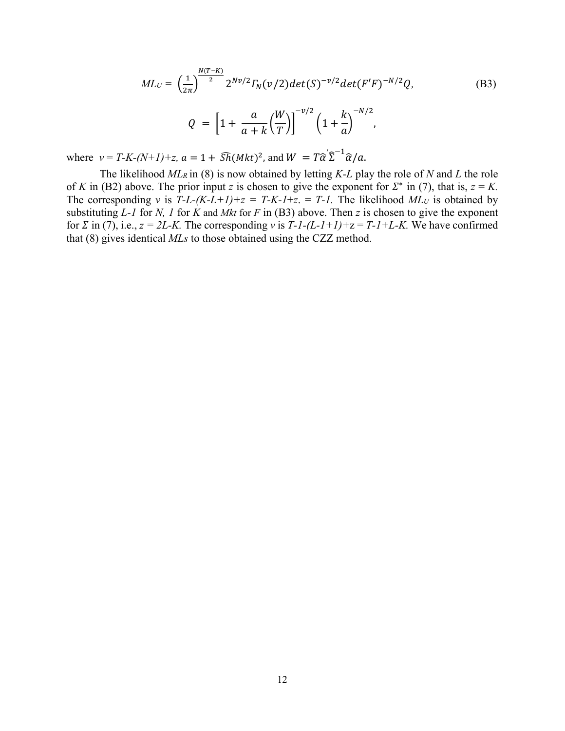$$
ML_U = \left(\frac{1}{2\pi}\right)^{\frac{N(T-K)}{2}} 2^{N\nu/2} \Gamma_N(\nu/2) det(S)^{-\nu/2} det(F'F)^{-N/2} Q,
$$
(B3)

$$
Q = \left[1 + \frac{a}{a+k} \left(\frac{W}{T}\right)\right]^{-\nu/2} \left(1 + \frac{k}{a}\right)^{-N/2},
$$

where  $v = T-K-(N+1)+z$ ,  $a = 1 + \widehat{Sh}(Mkt)^2$ , and  $W = T\widehat{\alpha}'\widehat{\Sigma}^{-1}\widehat{\alpha}/a$ .

 The likelihood *MLR* in (8) is now obtained by letting *K-L* play the role of *N* and *L* the role of *K* in (B2) above. The prior input *z* is chosen to give the exponent for  $\Sigma^*$  in (7), that is,  $z = K$ . The corresponding *v* is  $T-L-(K-L+1)+z = T-K-1+z = T-1$ . The likelihood  $MLU$  is obtained by substituting *L-1* for *N, 1* for *K* and *Mkt* for *F* in (B3) above. Then *z* is chosen to give the exponent for  $\Sigma$  in (7), i.e.,  $z = 2L$ -K. The corresponding *v* is  $T$ -1-(L-1+1)+ $z = T$ -1+L-K. We have confirmed that (8) gives identical *MLs* to those obtained using the CZZ method.